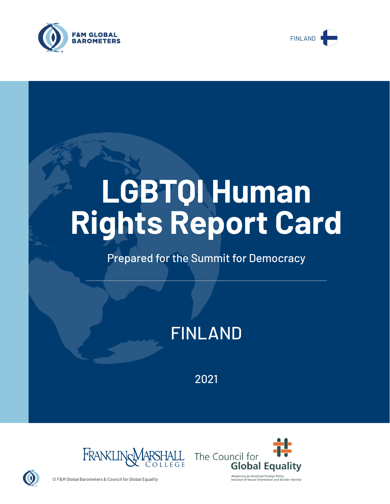



# **LGBTQI Human Rights Report Card**

# Prepared for the Summit for Democracy

# FINLAND

2021





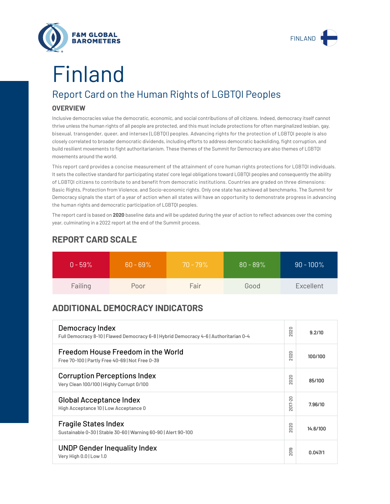



# Finland

# Report Card on the Human Rights of LGBTQI Peoples

## **OVERVIEW**

Inclusive democracies value the democratic, economic, and social contributions of *all* citizens. Indeed, democracy itself cannot thrive unless the human rights of all people are protected, and this must include protections for often marginalized lesbian, gay, bisexual, transgender, queer, and intersex (LGBTQI) peoples. Advancing rights for the protection of LGBTQI people is also closely correlated to broader democratic dividends, including efforts to address democratic backsliding, fight corruption, and build resilient movements to fight authoritarianism. These themes of the Summit for Democracy are also themes of LGBTQI movements around the world.

This report card provides a concise measurement of the attainment of core human rights protections for LGBTQI individuals. It sets the collective standard for participating states' core legal obligations toward LGBTQI peoples and consequently the ability of LGBTQI citizens to contribute to and benefit from democratic institutions. Countries are graded on three dimensions: Basic Rights, Protection from Violence, and Socio-economic rights. Only one state has achieved all benchmarks. The Summit for Democracy signals the start of a year of action when all states will have an opportunity to demonstrate progress in advancing the human rights and democratic participation of LGBTQI peoples.

The report card is based on **2020** baseline data and will be updated during the year of action to reflect advances over the coming year, culminating in a 2022 report at the end of the Summit process.

| $0 - 59\%$ | $60 - 69\%$ | $70 - 79\%$ | $80 - 89\%$ | $90 - 100\%$ |
|------------|-------------|-------------|-------------|--------------|
| Failing    | Poor        | Fair        | Good        | Excellent    |

# **REPORT CARD SCALE**

# **ADDITIONAL DEMOCRACY INDICATORS**

| Democracy Index<br>Full Democracy 8-10   Flawed Democracy 6-8   Hybrid Democracy 4-6   Authoritarian 0-4 |                        | 9.2/10   |
|----------------------------------------------------------------------------------------------------------|------------------------|----------|
| Freedom House Freedom in the World<br>Free 70-100   Partly Free 40-69   Not Free 0-39                    | 2020                   | 100/100  |
| <b>Corruption Perceptions Index</b><br>Very Clean 100/100   Highly Corrupt 0/100                         | 020<br>$\sim$          | 85/100   |
| <b>Global Acceptance Index</b><br>High Acceptance 10   Low Acceptance 0                                  | 2017-20                | 7.96/10  |
| <b>Fragile States Index</b><br>Sustainable 0-30   Stable 30-60   Warning 60-90   Alert 90-100            |                        | 14.6/100 |
| <b>UNDP Gender Inequality Index</b><br>Very High 0.0   Low 1.0                                           | တ<br>5<br>$\bar{\sim}$ | 0.047/1  |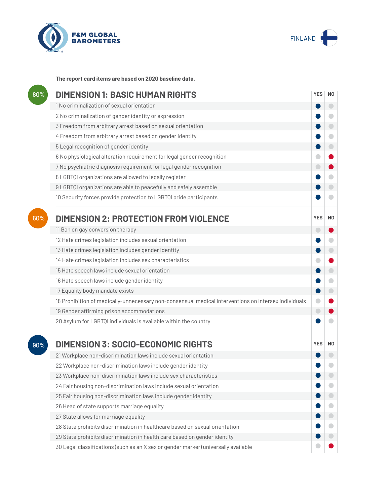



**The report card items are based on 2020 baseline data.**

| 80% | <b>DIMENSION 1: BASIC HUMAN RIGHTS</b>                                                               |            |                          |
|-----|------------------------------------------------------------------------------------------------------|------------|--------------------------|
|     | 1 No criminalization of sexual orientation                                                           |            | $\overline{\phantom{0}}$ |
|     | 2 No criminalization of gender identity or expression                                                |            |                          |
|     | 3 Freedom from arbitrary arrest based on sexual orientation                                          |            |                          |
|     | 4 Freedom from arbitrary arrest based on gender identity                                             |            | $\blacksquare$           |
|     | 5 Legal recognition of gender identity                                                               |            | $\bigcirc$               |
|     | 6 No physiological alteration requirement for legal gender recognition                               |            |                          |
|     | 7 No psychiatric diagnosis requirement for legal gender recognition                                  |            |                          |
|     | 8 LGBTQI organizations are allowed to legally register                                               |            |                          |
|     | 9 LGBTQI organizations are able to peacefully and safely assemble                                    |            |                          |
|     | 10 Security forces provide protection to LGBTQI pride participants                                   |            |                          |
| 60% | <b>DIMENSION 2: PROTECTION FROM VIOLENCE</b>                                                         | <b>YES</b> | N <sub>0</sub>           |
|     | 11 Ban on gay conversion therapy                                                                     | o          |                          |
|     | 12 Hate crimes legislation includes sexual orientation                                               |            |                          |
|     | 13 Hate crimes legislation includes gender identity                                                  |            | $\bigcirc$               |
|     | 14 Hate crimes legislation includes sex characteristics                                              |            |                          |
|     | 15 Hate speech laws include sexual orientation                                                       |            | $\bigcirc$               |
|     | 16 Hate speech laws include gender identity                                                          |            | $\blacksquare$           |
|     | 17 Equality body mandate exists                                                                      |            |                          |
|     | 18 Prohibition of medically-unnecessary non-consensual medical interventions on intersex individuals |            |                          |
|     | 19 Gender affirming prison accommodations                                                            | $\bigcirc$ |                          |
|     | 20 Asylum for LGBTQI individuals is available within the country                                     |            |                          |
| 90% | <b>DIMENSION 3: SOCIO-ECONOMIC RIGHTS</b>                                                            | <b>YES</b> | N <sub>0</sub>           |
|     | 21 Workplace non-discrimination laws include sexual orientation                                      |            |                          |
|     | 22 Workplace non-discrimination laws include gender identity                                         |            |                          |
|     | 23 Workplace non-discrimination laws include sex characteristics                                     |            |                          |
|     | 24 Fair housing non-discrimination laws include sexual orientation                                   |            |                          |
|     | 25 Fair housing non-discrimination laws include gender identity                                      |            |                          |
|     | 26 Head of state supports marriage equality                                                          |            |                          |
|     | 27 State allows for marriage equality                                                                |            |                          |
|     | 28 State prohibits discrimination in healthcare based on sexual orientation                          |            |                          |
|     | 29 State prohibits discrimination in health care based on gender identity                            |            |                          |
|     | 30 Legal classifications (such as an X sex or gender marker) universally available                   |            |                          |